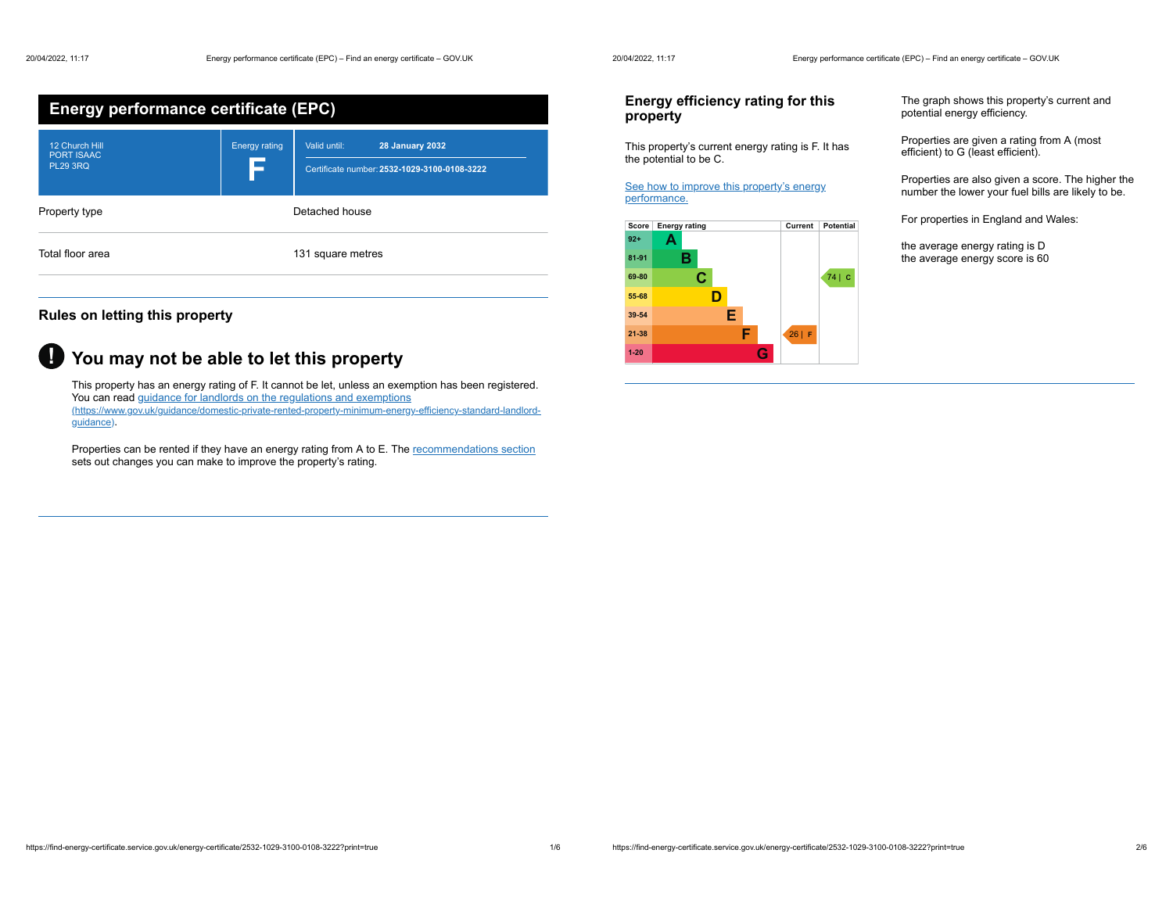| <b>Energy performance certificate (EPC)</b>            |                      |                                                                                        |
|--------------------------------------------------------|----------------------|----------------------------------------------------------------------------------------|
| 12 Church Hill<br><b>PORT ISAAC</b><br><b>PL29 3RQ</b> | <b>Energy rating</b> | Valid until:<br><b>28 January 2032</b><br>Certificate number: 2532-1029-3100-0108-3222 |
| Property type                                          |                      | Detached house                                                                         |
| Total floor area                                       |                      | 131 square metres                                                                      |

## **Rules on letting this property**

# **You may not be able to let this property !**

This property has an energy rating of F. It cannot be let, unless an exemption has been registered. You can read guidance for landlords on the regulations and exemptions (https://www.gov.uk/guidance/domestic-private-rented-property-minimum-energy-efficiency-standard-landlordguidance).

Properties can be rented if they have an energy rating from A to E. The recommendations section sets out changes you can make to improve the property's rating.

## **Energy efficiency rating for this property**

This property's current energy rating is F. It has the potential to be C.

See how to improve this property's energy performance.



The graph shows this property's current and potential energy efficiency.

Properties are given a rating from A (most efficient) to G (least efficient).

Properties are also given a score. The higher the number the lower your fuel bills are likely to be.

For properties in England and Wales:

the average energy rating is D the average energy score is 60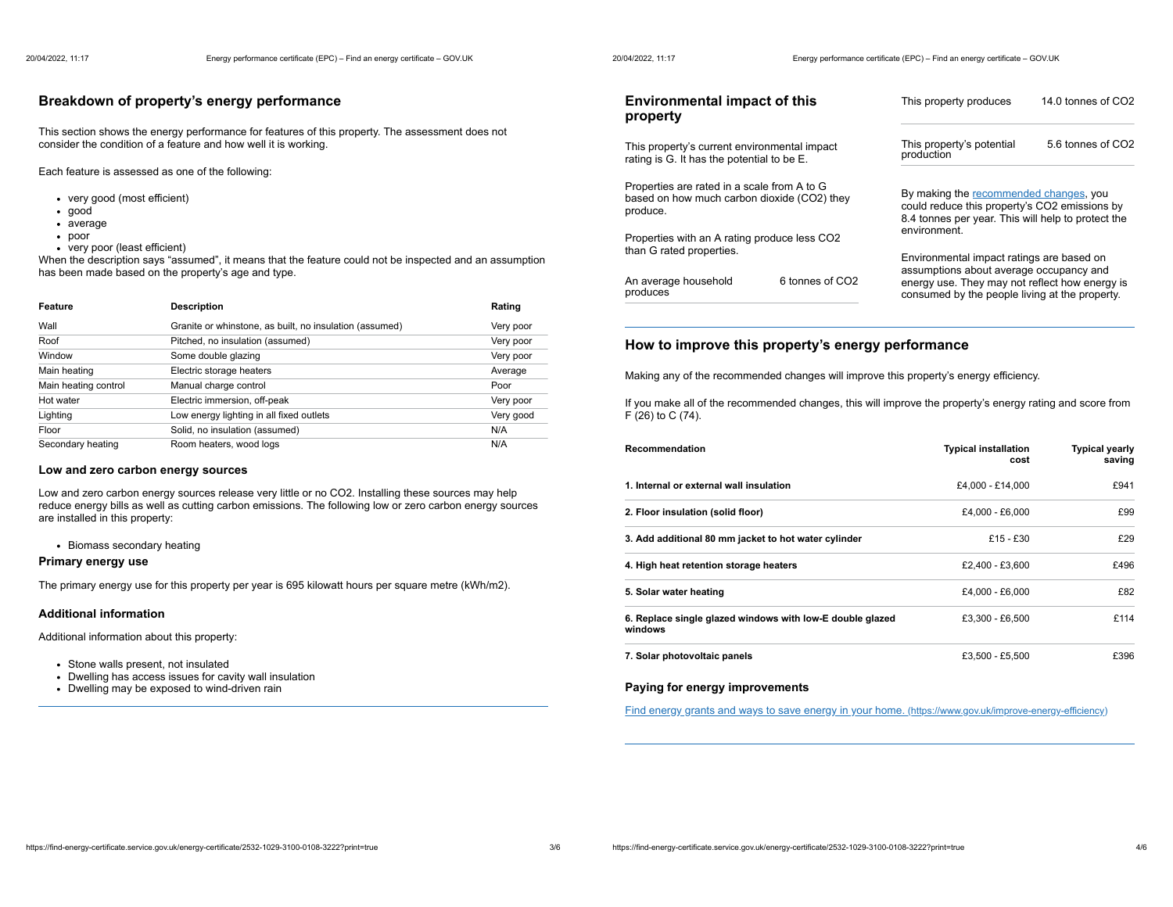### **Breakdown of property's energy performance**

This section shows the energy performance for features of this property. The assessment does not consider the condition of a feature and how well it is working.

Each feature is assessed as one of the following:

- very good (most efficient)
- good
- average
- poor
- very poor (least efficient)

When the description says "assumed", it means that the feature could not be inspected and an assumption has been made based on the property's age and type.

| Feature              | <b>Description</b>                                      | Rating    |
|----------------------|---------------------------------------------------------|-----------|
| Wall                 | Granite or whinstone, as built, no insulation (assumed) | Very poor |
| Roof                 | Pitched, no insulation (assumed)                        | Very poor |
| Window               | Some double glazing                                     | Very poor |
| Main heating         | Electric storage heaters                                | Average   |
| Main heating control | Manual charge control                                   | Poor      |
| Hot water            | Electric immersion, off-peak                            | Very poor |
| Lighting             | Low energy lighting in all fixed outlets                | Very good |
| Floor                | Solid, no insulation (assumed)                          | N/A       |
| Secondary heating    | Room heaters, wood logs                                 | N/A       |

#### **Low and zero carbon energy sources**

Low and zero carbon energy sources release very little or no CO2. Installing these sources may help reduce energy bills as well as cutting carbon emissions. The following low or zero carbon energy sources are installed in this property:

• Biomass secondary heating

#### **Primary energy use**

The primary energy use for this property per year is 695 kilowatt hours per square metre (kWh/m2).

#### **Additional information**

Additional information about this property:

- Stone walls present, not insulated
- Dwelling has access issues for cavity wall insulation
- Dwelling may be exposed to wind-driven rain

| <b>Environmental impact of this</b><br>property                                                        | This property produces                                                                                                                        | 14.0 tonnes of CO2 |
|--------------------------------------------------------------------------------------------------------|-----------------------------------------------------------------------------------------------------------------------------------------------|--------------------|
| This property's current environmental impact<br>rating is G. It has the potential to be E.             | This property's potential<br>production                                                                                                       | 5.6 tonnes of CO2  |
| Properties are rated in a scale from A to G<br>based on how much carbon dioxide (CO2) they<br>produce. | By making the recommended changes, you<br>could reduce this property's CO2 emissions by<br>8.4 tonnes per year. This will help to protect the |                    |
| Properties with an A rating produce less CO2<br>than G rated properties.                               | environment.<br>Environmental impact ratings are based on                                                                                     |                    |

assumptions about average occupancy and energy use. They may not reflect how energy is consumed by the people living at the property.

#### **How to improve this property's energy performance**

6 tonnes of CO2

Making any of the recommended changes will improve this property's energy efficiency.

If you make all of the recommended changes, this will improve the property's energy rating and score from F (26) to C (74).

| Recommendation                                                       | <b>Typical installation</b><br>cost | <b>Typical yearly</b><br>saving |
|----------------------------------------------------------------------|-------------------------------------|---------------------------------|
| 1. Internal or external wall insulation                              | £4.000 - £14.000                    | £941                            |
| 2. Floor insulation (solid floor)                                    | £4.000 - £6.000                     | £99                             |
| 3. Add additional 80 mm jacket to hot water cylinder                 | $£15 - £30$                         | £29                             |
| 4. High heat retention storage heaters                               | £2.400 - £3.600                     | £496                            |
| 5. Solar water heating                                               | £4.000 - £6.000                     | £82                             |
| 6. Replace single glazed windows with low-E double glazed<br>windows | £3.300 - £6.500                     | £114                            |
| 7. Solar photovoltaic panels                                         | £3.500 - £5.500                     | £396                            |

#### **Paying for energy improvements**

produces

An average household

Find energy grants and ways to save energy in your home. (https://www.gov.uk/improve-energy-efficiency)